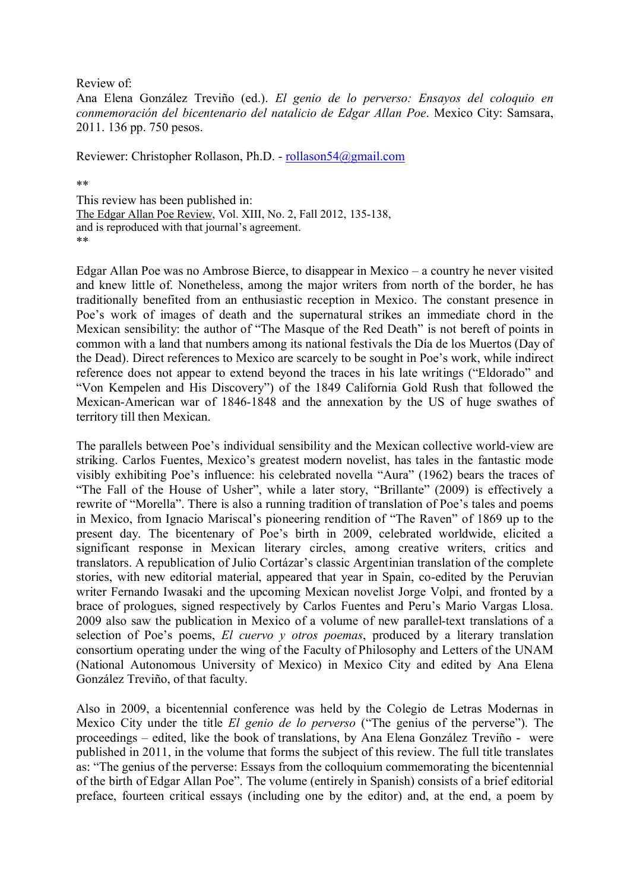Review of:

Ana Elena González Treviño (ed.). *El genio de lo perverso: Ensayos del coloquio en conmemoración del bicentenario del natalicio de Edgar Allan Poe*. Mexico City: Samsara, 2011. 136 pp. 750 pesos.

Reviewer: Christopher Rollason, Ph.D. - rollason54@gmail.com

\*\*

This review has been published in: The Edgar Allan Poe Review, Vol. XIII, No. 2, Fall 2012, 135-138, and is reproduced with that journal's agreement. \*\*

Edgar Allan Poe was no Ambrose Bierce, to disappear in Mexico – a country he never visited and knew little of. Nonetheless, among the major writers from north of the border, he has traditionally benefited from an enthusiastic reception in Mexico. The constant presence in Poe's work of images of death and the supernatural strikes an immediate chord in the Mexican sensibility: the author of "The Masque of the Red Death" is not bereft of points in common with a land that numbers among its national festivals the Día de los Muertos (Day of the Dead). Direct references to Mexico are scarcely to be sought in Poe's work, while indirect reference does not appear to extend beyond the traces in his late writings ("Eldorado" and "Von Kempelen and His Discovery") of the 1849 California Gold Rush that followed the Mexican-American war of 1846-1848 and the annexation by the US of huge swathes of territory till then Mexican.

The parallels between Poe's individual sensibility and the Mexican collective world-view are striking. Carlos Fuentes, Mexico's greatest modern novelist, has tales in the fantastic mode visibly exhibiting Poe's influence: his celebrated novella "Aura" (1962) bears the traces of "The Fall of the House of Usher", while a later story, "Brillante" (2009) is effectively a rewrite of "Morella". There is also a running tradition of translation of Poe's tales and poems in Mexico, from Ignacio Mariscal's pioneering rendition of "The Raven" of 1869 up to the present day. The bicentenary of Poe's birth in 2009, celebrated worldwide, elicited a significant response in Mexican literary circles, among creative writers, critics and translators. A republication of Julio Cortázar's classic Argentinian translation of the complete stories, with new editorial material, appeared that year in Spain, co-edited by the Peruvian writer Fernando Iwasaki and the upcoming Mexican novelist Jorge Volpi, and fronted by a brace of prologues, signed respectively by Carlos Fuentes and Peru's Mario Vargas Llosa. 2009 also saw the publication in Mexico of a volume of new parallel-text translations of a selection of Poe's poems, *El cuervo y otros poemas*, produced by a literary translation consortium operating under the wing of the Faculty of Philosophy and Letters of the UNAM (National Autonomous University of Mexico) in Mexico City and edited by Ana Elena González Treviño, of that faculty.

Also in 2009, a bicentennial conference was held by the Colegio de Letras Modernas in Mexico City under the title *El genio de lo perverso* ("The genius of the perverse"). The proceedings – edited, like the book of translations, by Ana Elena González Treviño - were published in 2011, in the volume that forms the subject of this review. The full title translates as: "The genius of the perverse: Essays from the colloquium commemorating the bicentennial of the birth of Edgar Allan Poe". The volume (entirely in Spanish) consists of a brief editorial preface, fourteen critical essays (including one by the editor) and, at the end, a poem by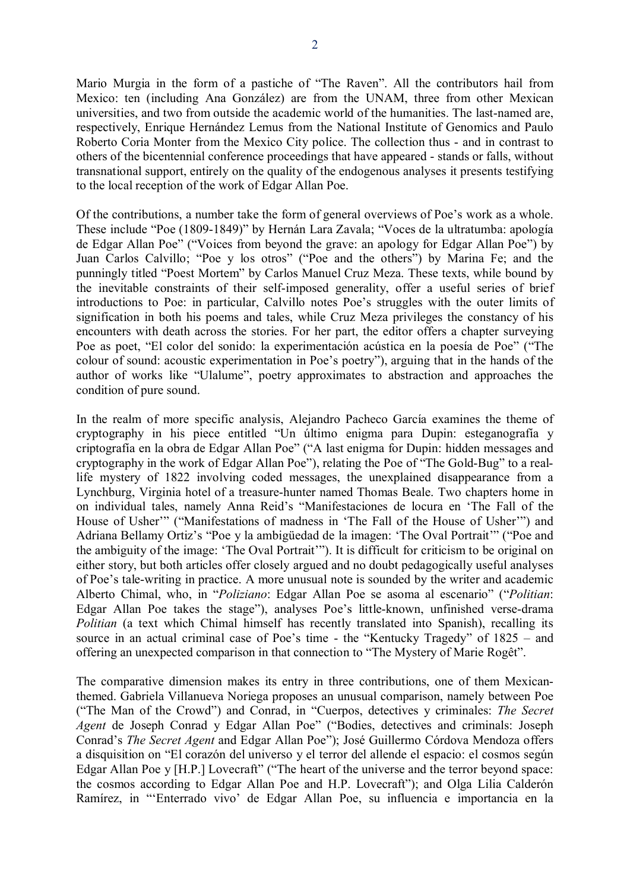Mario Murgia in the form of a pastiche of "The Raven". All the contributors hail from Mexico: ten (including Ana González) are from the UNAM, three from other Mexican universities, and two from outside the academic world of the humanities. The last-named are, respectively, Enrique Hernández Lemus from the National Institute of Genomics and Paulo Roberto Coria Monter from the Mexico City police. The collection thus - and in contrast to others of the bicentennial conference proceedings that have appeared - stands or falls, without transnational support, entirely on the quality of the endogenous analyses it presents testifying to the local reception of the work of Edgar Allan Poe.

Of the contributions, a number take the form of general overviews of Poe's work as a whole. These include "Poe (1809-1849)" by Hernán Lara Zavala; "Voces de la ultratumba: apología de Edgar Allan Poe" ("Voices from beyond the grave: an apology for Edgar Allan Poe") by Juan Carlos Calvillo; "Poe y los otros" ("Poe and the others") by Marina Fe; and the punningly titled "Poest Mortem" by Carlos Manuel Cruz Meza. These texts, while bound by the inevitable constraints of their self-imposed generality, offer a useful series of brief introductions to Poe: in particular, Calvillo notes Poe's struggles with the outer limits of signification in both his poems and tales, while Cruz Meza privileges the constancy of his encounters with death across the stories. For her part, the editor offers a chapter surveying Poe as poet, "El color del sonido: la experimentación acústica en la poesía de Poe" ("The colour of sound: acoustic experimentation in Poe's poetry"), arguing that in the hands of the author of works like "Ulalume", poetry approximates to abstraction and approaches the condition of pure sound.

In the realm of more specific analysis, Alejandro Pacheco García examines the theme of cryptography in his piece entitled "Un último enigma para Dupin: esteganografía y criptografía en la obra de Edgar Allan Poe" ("A last enigma for Dupin: hidden messages and cryptography in the work of Edgar Allan Poe"), relating the Poe of "The Gold-Bug" to a reallife mystery of 1822 involving coded messages, the unexplained disappearance from a Lynchburg, Virginia hotel of a treasure-hunter named Thomas Beale. Two chapters home in on individual tales, namely Anna Reid's "Manifestaciones de locura en 'The Fall of the House of Usher'" ("Manifestations of madness in 'The Fall of the House of Usher'") and Adriana Bellamy Ortiz's "Poe y la ambigüedad de la imagen: 'The Oval Portrait'" ("Poe and the ambiguity of the image: 'The Oval Portrait'"). It is difficult for criticism to be original on either story, but both articles offer closely argued and no doubt pedagogically useful analyses of Poe's tale-writing in practice. A more unusual note is sounded by the writer and academic Alberto Chimal, who, in "*Poliziano*: Edgar Allan Poe se asoma al escenario" ("*Politian*: Edgar Allan Poe takes the stage"), analyses Poe's little-known, unfinished verse-drama *Politian* (a text which Chimal himself has recently translated into Spanish), recalling its source in an actual criminal case of Poe's time - the "Kentucky Tragedy" of 1825 – and offering an unexpected comparison in that connection to "The Mystery of Marie Rogêt".

The comparative dimension makes its entry in three contributions, one of them Mexicanthemed. Gabriela Villanueva Noriega proposes an unusual comparison, namely between Poe ("The Man of the Crowd") and Conrad, in "Cuerpos, detectives y criminales: *The Secret Agent* de Joseph Conrad y Edgar Allan Poe" ("Bodies, detectives and criminals: Joseph Conrad's *The Secret Agent* and Edgar Allan Poe"); José Guillermo Córdova Mendoza offers a disquisition on "El corazón del universo y el terror del allende el espacio: el cosmos según Edgar Allan Poe y [H.P.] Lovecraft" ("The heart of the universe and the terror beyond space: the cosmos according to Edgar Allan Poe and H.P. Lovecraft"); and Olga Lilia Calderón Ramírez, in "'Enterrado vivo' de Edgar Allan Poe, su influencia e importancia en la